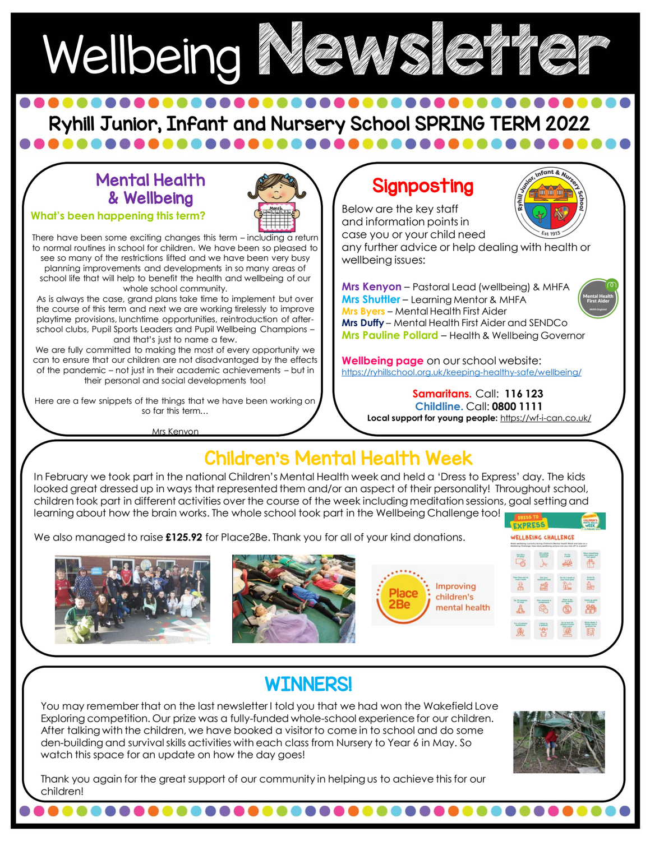

Ryhill Junior, Infant and Nursery School SPRING TERM 2022

#### Mental Health & Wellbeing

**What's been happening this term?**



There have been some exciting changes this term – including a return to normal routines in school for children. We have been so pleased to see so many of the restrictions lifted and we have been very busy planning improvements and developments in so many areas of school life that will help to benefit the health and wellbeing of our whole school community.

As is always the case, grand plans take time to implement but over the course of this term and next we are working tirelessly to improve playtime provisions, lunchtime opportunities, reintroduction of afterschool clubs, Pupil Sports Leaders and Pupil Wellbeing Champions – and that's just to name a few.

We are fully committed to making the most of every opportunity we can to ensure that our children are not disadvantaged by the effects of the pandemic – not just in their academic achievements – but in their personal and social developments too!

Here are a few snippets of the things that we have been working on so far this term…

Mrs Kenyon

### Signposting

Below are the key staff and information points in case you or your child need

any further advice or help dealing with health or wellbeing issues:

**Mrs Kenyon** – Pastoral Lead (wellbeing) & MHFA **Mrs Shuttler** – Learning Mentor & MHFA **Mrs Byers** – Mental Health First Aider **Mrs Duffy** – Mental Health First Aider and SENDCo **Mrs Pauline Pollard** – Health & Wellbeing Governor

**Wellbeing page** on our school website: <https://ryhillschool.org.uk/keeping-healthy-safe/wellbeing/>

> **Samaritans.** Call: **116 123 Childline.** Call: **0800 1111 Local support for young people:** <https://wf-i-can.co.uk/>

#### Children's Mental Health Week

In February we took part in the national Children's Mental Health week and held a 'Dress to Express' day. The kids looked great dressed up in ways that represented them and/or an aspect of their personality! Throughout school, children took part in different activities over the course of the week including meditation sessions, goal setting and learning about how the brain works. The whole school took part in the Wellbeing Challenge too!

We also managed to raise **£125.92** for Place2Be. Thank you for all of your kind donations.









# **WINNERS!**

,,,,,,,,,,,,,

After talking with the children, we have booked a visitor to come in to school and do some<br>den-building and survival skills activities with each class from Nursery to Year 6 in May. So You may remember that on the last newsletter I told you that we had won the Wakefield Love Exploring competition. Our prize was a fully-funded whole-school experience for our children. den-building and survival skills activities with each class from Nursery to Year 6 in May. So watch this space for an update on how the day goes!



Thank you again for the great support of our community in helping us to achieve this for our children!